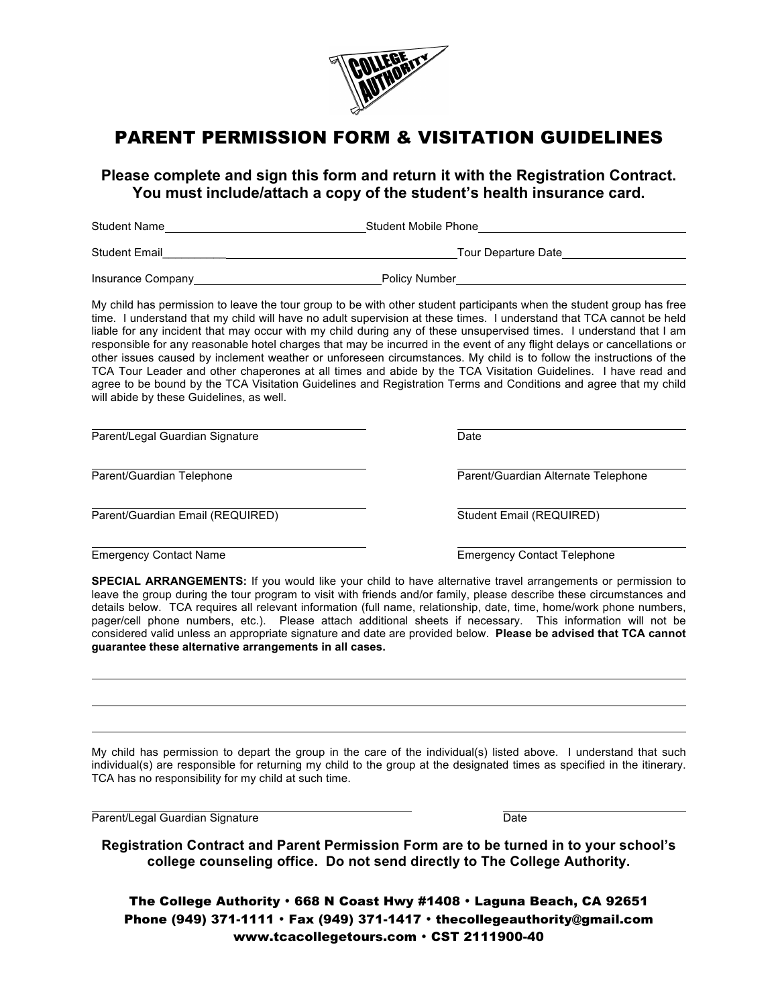

# PARENT PERMISSION FORM & VISITATION GUIDELINES

**Please complete and sign this form and return it with the Registration Contract. You must include/attach a copy of the student's health insurance card.**

| <b>Student Name</b>  | Student Mobile Phone |
|----------------------|----------------------|
| <b>Student Email</b> | Tour Departure Date  |
| Insurance Company    | <b>Policy Number</b> |

My child has permission to leave the tour group to be with other student participants when the student group has free time. I understand that my child will have no adult supervision at these times. I understand that TCA cannot be held liable for any incident that may occur with my child during any of these unsupervised times. I understand that I am responsible for any reasonable hotel charges that may be incurred in the event of any flight delays or cancellations or other issues caused by inclement weather or unforeseen circumstances. My child is to follow the instructions of the TCA Tour Leader and other chaperones at all times and abide by the TCA Visitation Guidelines. I have read and agree to be bound by the TCA Visitation Guidelines and Registration Terms and Conditions and agree that my child will abide by these Guidelines, as well.

Parent/Legal Guardian Signature Date Date

Parent/Guardian Email (REQUIRED) Student Email (REQUIRED)

Parent/Guardian Telephone Parent/Guardian Alternate Telephone

Emergency Contact Name Emergency Contact Telephone

**SPECIAL ARRANGEMENTS:** If you would like your child to have alternative travel arrangements or permission to leave the group during the tour program to visit with friends and/or family, please describe these circumstances and details below. TCA requires all relevant information (full name, relationship, date, time, home/work phone numbers, pager/cell phone numbers, etc.). Please attach additional sheets if necessary. This information will not be considered valid unless an appropriate signature and date are provided below. **Please be advised that TCA cannot guarantee these alternative arrangements in all cases.**

My child has permission to depart the group in the care of the individual(s) listed above. I understand that such individual(s) are responsible for returning my child to the group at the designated times as specified in the itinerary. TCA has no responsibility for my child at such time.

Parent/Legal Guardian Signature **Date of Australian Struck** Date

**Registration Contract and Parent Permission Form are to be turned in to your school's college counseling office. Do not send directly to The College Authority.**

The College Authority • 668 N Coast Hwy #1408 • Laguna Beach, CA 92651 Phone (949) 371-1111 • Fax (949) 371-1417 • thecollegeauthority@gmail.com www.tcacollegetours.com • CST 2111900-40